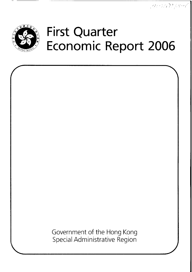$(20000)$ 



# **First Quarter Economic Report 2006**

Government of the Hong Kong Special Administrative Region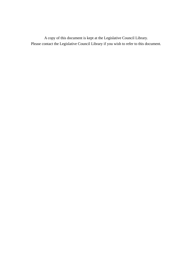A copy of this document is kept at the Legislative Council Library. Please contact the Legislative Council Library if you wish to refer to this document.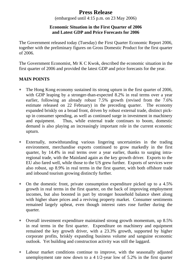## **Press Release**

(embargoed until 4:15 p.m. on 23 May 2006)

#### **Economic Situation in the First Quarter of 2006 and Latest GDP and Price Forecasts for 2006**

The Government released today (Tuesday) the First Quarter Economic Report 2006, together with the preliminary figures on Gross Domestic Product for the first quarter of 2006.

The Government Economist, Mr K C Kwok, described the economic situation in the first quarter of 2006 and provided the latest GDP and price forecasts for the year.

## **MAIN POINTS**

- ∗ The Hong Kong economy sustained its strong upturn in the first quarter of 2006, with GDP leaping by a stronger-than-expected 8.2% in real terms over a year earlier, following an already robust 7.5% growth (revised from the 7.6% estimate released on 22 February) in the preceding quarter. The economy expanded briskly on a broad front, driven by robust external trade, distinct pickup in consumer spending, as well as continued surge in investment in machinery and equipment. Thus, while external trade continues to boom, domestic demand is also playing an increasingly important role in the current economic upturn.
- ∗ Externally, notwithstanding various lingering uncertainties in the trading environment, merchandise exports continued to grow markedly in the first quarter, by 14.4% in real terms over a year earlier, thanks to surging intraregional trade, with the Mainland again as the key growth driver. Exports to the EU also fared well, while those to the US grew further. Exports of services were also robust, up 8.9% in real terms in the first quarter, with both offshore trade and inbound tourism growing distinctly further.
- ∗ On the domestic front, private consumption expenditure picked up to a 4.5% growth in real terms in the first quarter, on the back of improving employment incomes, but also boosted in part by stronger household balance sheet along with higher share prices and a reviving property market. Consumer sentiments remained largely upbeat, even though interest rates rose further during the quarter.
- ∗ Overall investment expenditure maintained strong growth momentum, up 8.5% in real terms in the first quarter. Expenditure on machinery and equipment remained the key growth driver, with a 23.3% growth, supported by higher corporate profits, briskly expanding business volume and sanguine economic outlook. Yet building and construction activity was still the laggard.
- ∗ Labour market conditions continue to improve, with the seasonally adjusted unemployment rate now down to a 4 1/2-year low of 5.2% in the first quarter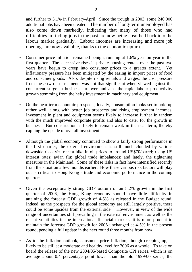and further to 5.1% in February-April. Since the trough in 2003, some 240 000 additional jobs have been created. The number of long-term unemployed has also come down markedly, indicating that many of those who had difficulties in finding jobs in the past are now being absorbed back into the labour market gradually. Labour incomes are increasing and more job openings are now available, thanks to the economic upturn.

- ∗ Consumer price inflation remained benign, running at 1.6% year-on-year in the first quarter. The successive rises in private housing rentals over the past two years have begun to creep into consumer prices to a greater extent. Yet inflationary pressure has been mitigated by the easing in import prices of food and consumer goods. Also, despite rising rentals and wages, the cost pressure from these two cost elements was not that significant when viewed against the concurrent surge in business turnover and also the rapid labour productivity growth stemming from the hefty investment in machinery and equipment.
- ∗ On the near-term economic prospects, locally, consumption looks set to hold up rather well, along with better job prospects and rising employment incomes. Investment in plant and equipment seems likely to increase further in tandem with the much improved corporate profits and also to cater for the growth in business. But construction is likely to remain weak in the near term, thereby capping the upside of overall investment.
- ∗ Although the global economy continued to show a fairly strong performance in the first quarter, the external environment is still much clouded by various downside risks viz. recent hike in oil prices to around US\$70/barrel; rising US interest rates; avian flu; global trade imbalances; and lately, the tightening measures in the Mainland. Some of these risks in fact have intensified recently from the situation a few months earlier. How these various risk factors will play out is critical to Hong Kong's trade and economic performance in the coming quarters.
- ∗ Given the exceptionally strong GDP outturn of an 8.2% growth in the first quarter of 2006, the Hong Kong economy should have little difficulty in attaining the forecast GDP growth of 4-5% as released in the Budget round. Indeed, as the prospects for the global economy are still largely positive, there could be some upsides from the external side. However, in view of the wide range of uncertainties still prevailing in the external environment as well as the recent volatilities in the international financial markets, it is more prudent to maintain the forecast GDP growth for 2006 unchanged at 4-5% in the present round, pending a full update in the next round three months from now.
- ∗ As to the inflation outlook, consumer price inflation, though creeping up, is likely to be still at a moderate and healthy level for 2006 as a whole. To take on board the release of the new 2004/05-based Composite CPI series, which is on average about 0.4 percentage point lower than the old 1999/00 series, the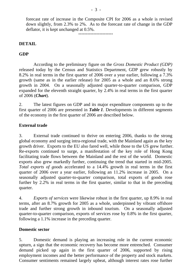forecast rate of increase in the Composite CPI for 2006 as a whole is revised down slightly, from 2.3% to 2%. As to the forecast rate of change in the GDP deflator, it is kept unchanged at  $0.5\%$ .

#### **DETAIL**

#### **GDP**

 According to the preliminary figure on the *Gross Domestic Product (GDP)* released today by the Census and Statistics Department, GDP grew robustly by 8.2% in real terms in the first quarter of 2006 over a year earlier, following a 7.3% growth (same as in the earlier release) for 2005 as a whole and an 8.6% strong growth in 2004. On a seasonally adjusted quarter-to-quarter comparison, GDP expanded for the eleventh straight quarter, by 2.4% in real terms in the first quarter of 2006 (*Chart*).

2. The latest figures on GDP and its major expenditure components up to the first quarter of 2006 are presented in *Table 1*. Developments in different segments of the economy in the first quarter of 2006 are described below.

#### **External trade**

3. External trade continued to thrive on entering 2006, thanks to the strong global economy and surging intra-regional trade, with the Mainland again as the key growth driver. Exports to the EU also fared well, while those to the US grew further. Re-exports continued to surge, a manifestation of the key role of Hong Kong facilitating trade flows between the Mainland and the rest of the world. Domestic exports also grew markedly further, continuing the trend that started in mid-2005. *Total exports of goods* accelerated to a 14.4% growth in real terms in the first quarter of 2006 over a year earlier, following an 11.2% increase in 2005. On a seasonally adjusted quarter-to-quarter comparison, total exports of goods rose further by 2.2% in real terms in the first quarter, similar to that in the preceding quarter.

4. *Exports of services* were likewise robust in the first quarter, up 8.9% in real terms, after an 8.7% growth for 2005 as a whole, underpinned by vibrant offshore trade and further strong growth in inbound tourism. On a seasonally adjusted quarter-to-quarter comparison, exports of services rose by 0.8% in the first quarter, following a 1.1% increase in the preceding quarter.

#### **Domestic sector**

5. Domestic demand is playing an increasing role in the current economic upturn, a sign that the economic recovery has become more entrenched. Consumer demand picked up again in the first quarter of 2006, supported by rising employment incomes and the better performance of the property and stock markets. Consumer sentiments remained largely upbeat, although interest rates rose further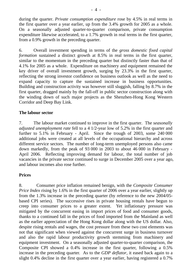during the quarter. *Private consumption expenditure* rose by 4.5% in real terms in the first quarter over a year earlier, up from the 3.4% growth for 2005 as a whole. On a seasonally adjusted quarter-to-quarter comparison, private consumption expenditure likewise accelerated, to a 1.7% growth in real terms in the first quarter, from a 0.9% growth in the preceding quarter.

6. Overall investment spending in terms of the *gross domestic fixed capital formation* sustained a distinct growth at 8.5% in real terms in the first quarter, similar to the momentum in the preceding quarter but distinctly faster than that of 4.1% for 2005 as a whole. Expenditure on machinery and equipment remained the key driver of overall investment growth, surging by 23.3% in the first quarter, reflecting the strong investor confidence on business outlook as well as the need to expand capacity to capture the sustained increase in business opportunities. Building and construction activity was however still sluggish, falling by 8.7% in the first quarter, dragged mainly by the fall-off in public sector construction along with the winding down of such major projects as the Shenzhen-Hong Kong Western Corridor and Deep Bay Link.

#### **The labour sector**

7. The labour market continued to improve in the first quarter. The *seasonally adjusted unemployment rate* fell to a 4 1/2-year low of 5.2% in the first quarter and further to 5.1% in February - April. Since the trough of 2003, some 240 000 additional jobs were created at all levels of the occupational hierarchy and across different service sectors. The number of long-term unemployed persons also came down markedly, from the peak of 93 000 in 2003 to about 46 000 in February - April 2006. Reflecting improving demand for labour, the total number of job vacancies in the private sector continued to surge in December 2005 over a year ago, and labour incomes also rose further.

#### **Prices**

8. Consumer price inflation remained benign, with the *Composite Consumer Price Index* rising by 1.6% in the first quarter of 2006 over a year earlier, slightly up from the 1.3% increase in the preceding quarter (by reference to the new 2004/05 based CPI series). The successive rises in private housing rentals have begun to creep into consumer prices to a greater extent. Yet inflationary pressure was mitigated by the concurrent easing in import prices of food and consumer goods, thanks to a continued fall in the prices of food imported from the Mainland as well as the earlier appreciation of the Hong Kong dollar along with the US dollar. Also, despite rising rentals and wages, the cost pressure from these two cost elements was not that significant when viewed against the concurrent surge in business turnover and also the rapid labour productivity growth stemming from machinery and equipment investment. On a seasonally adjusted quarter-to-quarter comparison, the Composite CPI showed a 0.4% increase in the first quarter, following a 0.5% increase in the preceding quarter. As to the *GDP deflator*, it eased back again to a slight 0.4% decline in the first quarter over a year earlier, having registered a 0.7%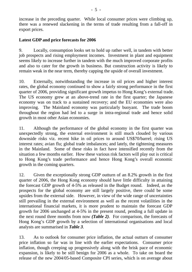increase in the preceding quarter. While local consumer prices were climbing up, there was a renewed slackening in the terms of trade resulting from a fall-off in export prices.

#### **Latest GDP and price forecasts for 2006**

9. Locally, consumption looks set to hold up rather well, in tandem with better job prospects and rising employment incomes. Investment in plant and equipment seems likely to increase further in tandem with the much improved corporate profits and also to cater for the growth in business. But construction activity is likely to remain weak in the near term, thereby capping the upside of overall investment.

10. Externally, notwithstanding the increase in oil prices and higher interest rates, the global economy continued to show a fairly strong performance in the first quarter of 2006, providing significant growth impetus to Hong Kong's external trade. The US economy grew at an above-trend rate in the first quarter; the Japanese economy was on track to a sustained recovery; and the EU economies were also improving. The Mainland economy was particularly buoyant. The trade boom throughout the region had led to a surge in intra-regional trade and hence solid growth in most other Asian economies.

11. Although the performance of the global economy in the first quarter was unexpectedly strong, the external environment is still much clouded by various downside risks viz. recent hike in oil prices to around US\$70/barrel; rising US interest rates; avian flu; global trade imbalances; and lately, the tightening measures in the Mainland. Some of these risks in fact have intensified recently from the situation a few months earlier. How these various risk factors will play out is critical to Hong Kong's trade performance and hence Hong Kong's overall economic growth in the coming quarters.

12. Given the exceptionally strong GDP outturn of an 8.2% growth in the first quarter of 2006, the Hong Kong economy should have little difficulty in attaining the forecast GDP growth of 4-5% as released in the Budget round. Indeed, as the prospects for the global economy are still largely positive, there could be some upsides from the external side. However, in view of the wide range of uncertainties still prevailing in the external environment as well as the recent volatilities in the international financial markets, it is more prudent to maintain the forecast GDP growth for 2006 unchanged at 4-5% in the present round, pending a full update in the next round three months from now *(Table 2)*. For comparison, the forecasts of Hong Kong's GDP growth by a selection of international organisations and local analysts are summarised in *Table 3*.

13. As to outlook for consumer price inflation, the actual outturn of consumer price inflation so far was in line with the earlier expectations. Consumer price inflation, though creeping up progressively along with the brisk pace of economic expansion, is likely to be still benign for 2006 as a whole. To take on board the release of the new 2004/05-based Composite CPI series, which is on average about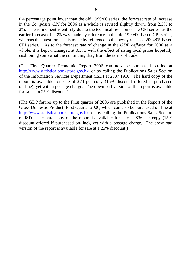0.4 percentage point lower than the old 1999/00 series, the forecast rate of increase in the *Composite CPI* for 2006 as a whole is revised slightly down, from 2.3% to 2%. The refinement is entirely due to the technical revision of the CPI series, as the earlier forecast of 2.3% was made by reference to the old 1999/00-based CPI series, whereas the latest forecast is made by reference to the newly released 2004/05-based CPI series. As to the forecast rate of change in the *GDP deflator* for 2006 as a whole, it is kept unchanged at 0.5%, with the effect of rising local prices hopefully cushioning somewhat the continuing drag from the terms of trade.

(The First Quarter Economic Report 2006 can now be purchased on-line at http://www.statisticalbookstore.gov.hk, or by calling the Publications Sales Section of the Information Services Department (ISD) at 2537 1910. The hard copy of the report is available for sale at \$74 per copy (15% discount offered if purchased on-line), yet with a postage charge. The download version of the report is available for sale at a 25% discount.)

(The GDP figures up to the First quarter of 2006 are published in the Report of the Gross Domestic Product, First Quarter 2006, which can also be purchased on-line at http://www.statisticalbookstore.gov.hk, or by calling the Publications Sales Section of ISD. The hard copy of the report is available for sale at \$36 per copy (15% discount offered if purchased on-line), yet with a postage charge. The download version of the report is available for sale at a 25% discount.)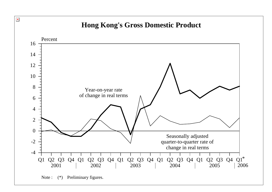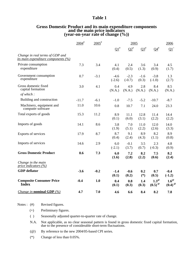#### **Table 1**

| <b>Gross Domestic Product and its main expenditure components</b> |
|-------------------------------------------------------------------|
| and the main price indicators                                     |
| (year-on-year rate of change $(\%))$                              |

|                                                                        | $2004$ <sup>#</sup> | $2005$ <sup>#</sup> | 2005               |                    |                 | 2006                                |                                     |
|------------------------------------------------------------------------|---------------------|---------------------|--------------------|--------------------|-----------------|-------------------------------------|-------------------------------------|
|                                                                        |                     |                     | $\Omega^*$         | $Q2^*$             | $Q3^{\#}$       | ${\bf Q4}^{\#}$                     | $\mathbf{Q1}^+$                     |
| Change in real terms of GDP and<br>its main expenditure components (%) |                     |                     |                    |                    |                 |                                     |                                     |
| Private consumption<br>expenditure                                     | 7.3                 | 3.4                 | 4.1<br>(0.4)       | 2.4<br>(0.5)       | 3.6<br>(1.3)    | 3.4<br>(0.9)                        | 4.5<br>(1.7)                        |
| Government consumption<br>expenditure                                  | 0.7                 | $-3.1$              | $-4.6$<br>$(-2.6)$ | $-2.3$<br>$(-0.7)$ | $-1.6$<br>(0.3) | $-3.8$<br>$(-1.0)$                  | 1.3<br>(2.7)                        |
| Gross domestic fixed<br>capital formation                              | 3.0                 | 4.1                 | 0.4<br>(N.A.)      | 4.9<br>(N.A.)      | 2.8<br>(N.A.)   | 8.4<br>(N.A.)                       | 8.5<br>(N.A.)                       |
| of which:                                                              |                     |                     |                    |                    |                 |                                     |                                     |
| Building and construction                                              | $-11.7$             | $-6.1$              | $-1.0$             | $-7.5$             | $-5.2$          | $-10.7$                             | $-8.7$                              |
| Machinery, equipment and<br>computer software                          | 11.0                | 10.6                | 0.8                | 10.7               | 7.1             | 24.0                                | 23.3                                |
| Total exports of goods                                                 | 15.3                | 11.2                | 8.9<br>(0.1)       | 11.1<br>(6.0)      | 12.8<br>(3.1)   | 11.4<br>(2.2)                       | 14.4<br>(2.2)                       |
| Imports of goods                                                       | 14.1                | 8.6                 | 3.8<br>(1.9)       | 7.0<br>(5.1)       | 11.0<br>(2.2)   | 12.0<br>(2.6)                       | 14.0<br>(3.3)                       |
| Exports of services                                                    | 17.9                | 8.7                 | 8.7<br>(0.4)       | 9.1<br>(2.4)       | 8.9<br>(4.3)    | 8.2<br>(1.1)                        | 8.9<br>(0.8)                        |
| Imports of services                                                    | 14.6                | 2.9                 | 6.0<br>$(-2.1)$    | $-0.1$<br>(3.7)    | 3.5<br>(0.7)    | 2.3<br>$(-0.3)$                     | 4.8<br>(0.9)                        |
| <b>Gross Domestic Product</b>                                          | 8.6                 | 7.3                 | 6.0<br>(1.6)       | 7.2<br>(2.8)       | 8.2<br>(2.2)    | 7.5<br>(0.6)                        | 8.2<br>(2.4)                        |
| Change in the main<br>price indicators $(\%)$                          |                     |                     |                    |                    |                 |                                     |                                     |
| <b>GDP</b> deflator                                                    | $-3.6$              | $-0.2$              | $-1.4$<br>(0.1)    | $-0.6$<br>(0.2)    | 0.2<br>$(*)$    | 0.7<br>(0.5)                        | $-0.4$<br>$(-1.2)$                  |
| <b>Composite Consumer Price</b><br><b>Index</b>                        | $-0.4$              | 1.0                 | 0.4<br>(0.1)       | 0.8<br>(0.3)       | 1.4<br>(0.3)    | $1.3^\circ$<br>$(0.5)$ <sup>@</sup> | $1.6^\circ$<br>$(0.4)$ <sup>@</sup> |
| <i>Change in nominal GDP</i> $(\%)$                                    | 4.7                 | 7.0                 | 4.6                | 6.6                | 8.4             | 8.2                                 | 7.8                                 |

Notes : (#) Revised figures.

- (+) Preliminary figures.
- ( ) Seasonally adjusted quarter-to-quarter rate of change.
- N.A. Not applicable, as no clear seasonal pattern is found in gross domestic fixed capital formation, due to the presence of considerable short-term fluctuations.
	- (@) By reference to the new 2004/05-based CPI series.
	- (\*) Change of less than 0.05%.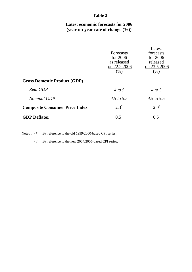### **Table 2**

## **Latest economic forecasts for 2006 (year-on-year rate of change (%))**

|                                       | Forecasts<br>for $2006$<br>as released<br>on 22.2.2006<br>(% ) | Latest<br>forecasts<br>for $2006$<br>released<br>on 23.5.2006<br>(% ) |
|---------------------------------------|----------------------------------------------------------------|-----------------------------------------------------------------------|
| <b>Gross Domestic Product (GDP)</b>   |                                                                |                                                                       |
| Real GDP                              | 4 to 5                                                         | 4 to 5                                                                |
| <b>Nominal GDP</b>                    | 4.5 to 5.5                                                     | 4.5 to 5.5                                                            |
| <b>Composite Consumer Price Index</b> | $2.3^*$                                                        | $2.0^{*}$                                                             |
| <b>GDP</b> Deflator                   | 0.5                                                            | 0.5                                                                   |

Notes : (\*) By reference to the old 1999/2000-based CPI series.

(#) By reference to the new 2004/2005-based CPI series.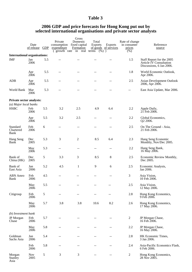## **Table 3**

#### **2006 GDP and price forecasts for Hong Kong put out by selected international organisations and private sector analysts**

|                                                                                                                 |                        |     |                                       | Gross                                         |                          |                                        |                                         |                                                                                  |  |  |
|-----------------------------------------------------------------------------------------------------------------|------------------------|-----|---------------------------------------|-----------------------------------------------|--------------------------|----------------------------------------|-----------------------------------------|----------------------------------------------------------------------------------|--|--|
|                                                                                                                 | Date<br>of release GDP |     | Private<br>consumption<br>expenditure | Domestic<br>fixed capital<br><b>Formation</b> | Total<br><b>Exports</b>  | <b>Exports</b><br>of goods of services | Rate of change<br>in consumer<br>prices | Reference<br>source                                                              |  |  |
| growth rate<br>in<br>real<br>$(\%)$ )<br>(% )<br>terms<br>$\overline{ }$<br><b>International organisations:</b> |                        |     |                                       |                                               |                          |                                        |                                         |                                                                                  |  |  |
| <b>IMF</b>                                                                                                      | Jan<br>2006            | 5.5 | --                                    | $-1$                                          |                          | --                                     | 1.5                                     | Staff Report for the 2005<br>Article IV Consultation<br>Discussions, 6 Jan 2006. |  |  |
|                                                                                                                 | Apr<br>2006            | 5.5 | --                                    | --                                            |                          | --                                     | 1.8                                     | World Economic Outlook,<br>Apr 2006.                                             |  |  |
| ADB                                                                                                             | Apr<br>2006            | 5.5 | --                                    | --                                            | --                       | --                                     | 2.5                                     | <b>Asian Development Outlook</b><br>2006, Apr 2006.                              |  |  |
| World Bank                                                                                                      | Mar<br>2006            | 5.3 | $-$                                   | $-$                                           | $-$                      | --                                     | $- -$                                   | East Asia Update, Mar 2006.                                                      |  |  |
| Private sector analysts:<br>(a) Major local banks                                                               |                        |     |                                       |                                               |                          |                                        |                                         |                                                                                  |  |  |
| <b>HSBC</b>                                                                                                     | Feb<br>2006            | 5.5 | 3.2                                   | 2.5                                           | 4.9                      | 6.4                                    | 2.2                                     | Apple Daily,<br>21 Feb 2006.                                                     |  |  |
|                                                                                                                 | Apr<br>2006            | 5.5 | 3.2                                   | 2.5                                           | $-$                      | --                                     | 2.2                                     | Global Economics,<br>Q2 2006.                                                    |  |  |
| Standard<br>Chartered<br>Bank                                                                                   | Feb<br>2006            | 6   | $-$                                   | $-$                                           | $-$                      | --                                     | 2.5                                     | On The Ground - Asia,<br>21 Feb 2006.                                            |  |  |
| Hang Seng<br>Bank                                                                                               | Dec<br>2005            | 5.3 | 3                                     | 2                                             | 8.5                      | 6.4                                    | 2.3                                     | Hang Seng Economic<br>Monthly, Nov/Dec 2005.                                     |  |  |
|                                                                                                                 | May<br>2006            | 5.3 | $\overline{a}$                        | --                                            | $\sim$                   | $-$                                    | 2.2                                     | Hang Seng Bank,<br>16 May 2006.                                                  |  |  |
| Bank of<br>China (HK)                                                                                           | Dec<br>2005            | 5   | 3.3                                   | 3                                             | 8.5                      | 8                                      | 2.5                                     | Economic Review Monthly,<br>Dec 2005.                                            |  |  |
| Bank of<br>East Asia                                                                                            | Jan<br>2006            | 5.2 | 4.5                                   | $\mathbf{1}$                                  | 9                        | 6                                      | 2.5                                     | Economic Analysis,<br>Jan 2006.                                                  |  |  |
| <b>ABN</b> Amro<br>Bank                                                                                         | Feb<br>2006            | 4.5 | $-$                                   | $-$                                           | $\sim$ $\sim$            | --                                     | 3                                       | Asia Vision,<br>10 Feb 2006.                                                     |  |  |
|                                                                                                                 | May<br>2006            | 5.5 | $-$                                   |                                               |                          |                                        | 2.5                                     | Asia Vision,<br>12 May 2006.                                                     |  |  |
| Citigroup                                                                                                       | Feb<br>2006            | 5   | --                                    | $-$                                           | $\sim$ $\sim$            | $-$                                    | 2.8                                     | Hong Kong Economics,<br>9 Геб 2006.                                              |  |  |
|                                                                                                                 | May<br>2006            | 5.7 | 3.8                                   | 3.8                                           | 10.6                     | 8.2                                    | 2.6                                     | Hong Kong Economics,<br>17 May 2006.                                             |  |  |
| (b) Investment bank                                                                                             |                        |     |                                       |                                               |                          |                                        |                                         |                                                                                  |  |  |
| JP Morgan<br>Chase                                                                                              | Feb<br>2006            | 5.7 | --                                    | $-$                                           |                          | --                                     | 2                                       | JP Morgan Chase,<br>16 Feb 2006.                                                 |  |  |
|                                                                                                                 | May<br>2006            | 5.8 | $-$                                   | --                                            | $-$                      | --                                     | 2.2                                     | JP Morgan Chase,<br>16 May 2006.                                                 |  |  |
| Goldman<br>Sachs Asia                                                                                           | Jan<br>2006            | 5.4 | --                                    | --                                            | $\sim$ $\sim$            | --                                     | 2.8                                     | HK Economic Times,<br>3 Jan 2006.                                                |  |  |
|                                                                                                                 | Feb<br>2006            | 5.8 | $\qquad \qquad -$                     | $-\,-$                                        | $\overline{\phantom{a}}$ | --                                     | 2.4                                     | Asia-Pacific Economics Flash,<br>6 Feb 2006.                                     |  |  |
| Morgan<br>Stanley<br>Asia                                                                                       | <b>Nov</b><br>2005     | 5   | 3                                     | 3                                             | $-$                      | $-$                                    | $\overline{c}$                          | Hong Kong Economics,<br>28 Nov 2005.                                             |  |  |